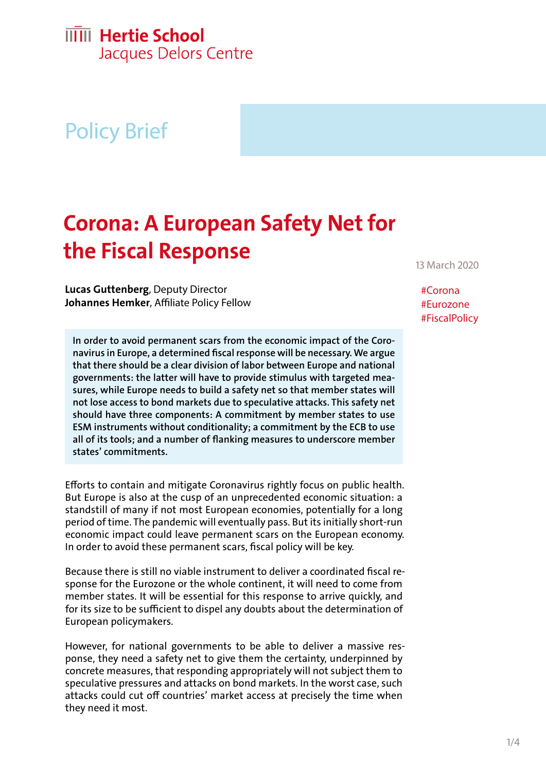## **IIIII** Hertie School

Jacques Delors Centre

# Policy Brief

## **Corona: A European Safety Net for the Fiscal Response**

**Lucas Guttenberg**, Deputy Director **Johannes Hemker**, Affiliate Policy Fellow

**In order to avoid permanent scars from the economic impact of the Coronavirus in Europe, a determined fiscal response will be necessary. We argue that there should be a clear division of labor between Europe and national governments: the latter will have to provide stimulus with targeted measures, while Europe needs to build a safety net so that member states will not lose access to bond markets due to speculative attacks. This safety net should have three components: A commitment by member states to use ESM instruments without conditionality; a commitment by the ECB to use all of its tools; and a number of flanking measures to underscore member states' commitments.**

Efforts to contain and mitigate Coronavirus rightly focus on public health. But Europe is also at the cusp of an unprecedented economic situation: a standstill of many if not most European economies, potentially for a long period of time. The pandemic will eventually pass. But its initially short-run economic impact could leave permanent scars on the European economy. In order to avoid these permanent scars, fiscal policy will be key.

Because there is still no viable instrument to deliver a coordinated fiscal response for the Eurozone or the whole continent, it will need to come from member states. It will be essential for this response to arrive quickly, and for its size to be sufficient to dispel any doubts about the determination of European policymakers.

However, for national governments to be able to deliver a massive response, they need a safety net to give them the certainty, underpinned by concrete measures, that responding appropriately will not subject them to speculative pressures and attacks on bond markets. In the worst case, such attacks could cut off countries' market access at precisely the time when they need it most.

13 March 2020

#Corona #Eurozone #FiscalPolicy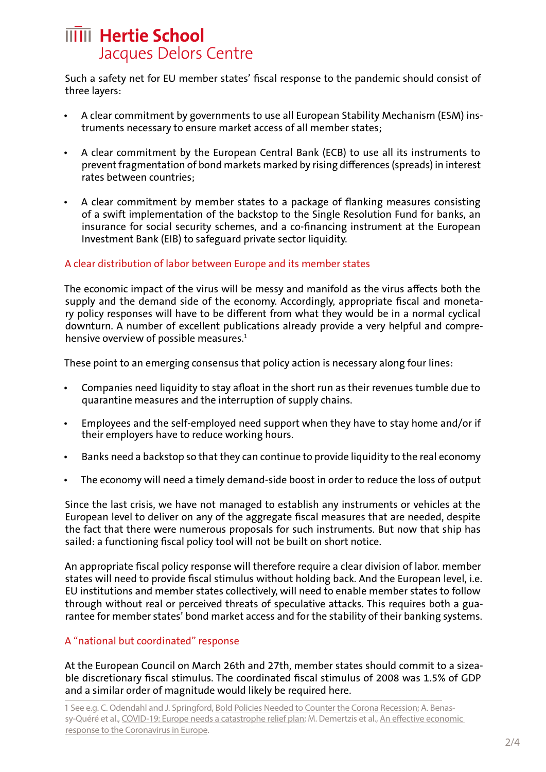## **IIIII** Hertie School Jacques Delors Centre

Such a safety net for EU member states' fiscal response to the pandemic should consist of three layers:

- A clear commitment by governments to use all European Stability Mechanism (ESM) instruments necessary to ensure market access of all member states;
- A clear commitment by the European Central Bank (ECB) to use all its instruments to prevent fragmentation of bond markets marked by rising differences (spreads) in interest rates between countries;
- A clear commitment by member states to a package of flanking measures consisting of a swift implementation of the backstop to the Single Resolution Fund for banks, an insurance for social security schemes, and a co-financing instrument at the European Investment Bank (EIB) to safeguard private sector liquidity.

#### A clear distribution of labor between Europe and its member states

The economic impact of the virus will be messy and manifold as the virus affects both the supply and the demand side of the economy. Accordingly, appropriate fiscal and monetary policy responses will have to be different from what they would be in a normal cyclical downturn. A number of excellent publications already provide a very helpful and comprehensive overview of possible measures. $1$ 

These point to an emerging consensus that policy action is necessary along four lines:

- Companies need liquidity to stay afloat in the short run as their revenues tumble due to quarantine measures and the interruption of supply chains.
- Employees and the self-employed need support when they have to stay home and/or if their employers have to reduce working hours.
- Banks need a backstop so that they can continue to provide liquidity to the real economy
- The economy will need a timely demand-side boost in order to reduce the loss of output

Since the last crisis, we have not managed to establish any instruments or vehicles at the European level to deliver on any of the aggregate fiscal measures that are needed, despite the fact that there were numerous proposals for such instruments. But now that ship has sailed: a functioning fiscal policy tool will not be built on short notice.

An appropriate fiscal policy response will therefore require a clear division of labor. member states will need to provide fiscal stimulus without holding back. And the European level, i.e. EU institutions and member states collectively, will need to enable member states to follow through without real or perceived threats of speculative attacks. This requires both a guarantee for member states' bond market access and for the stability of their banking systems.

### A "national but coordinated" response

At the European Council on March 26th and 27th, member states should commit to a sizeable discretionary fiscal stimulus. The coordinated fiscal stimulus of 2008 was 1.5% of GDP and a similar order of magnitude would likely be required here.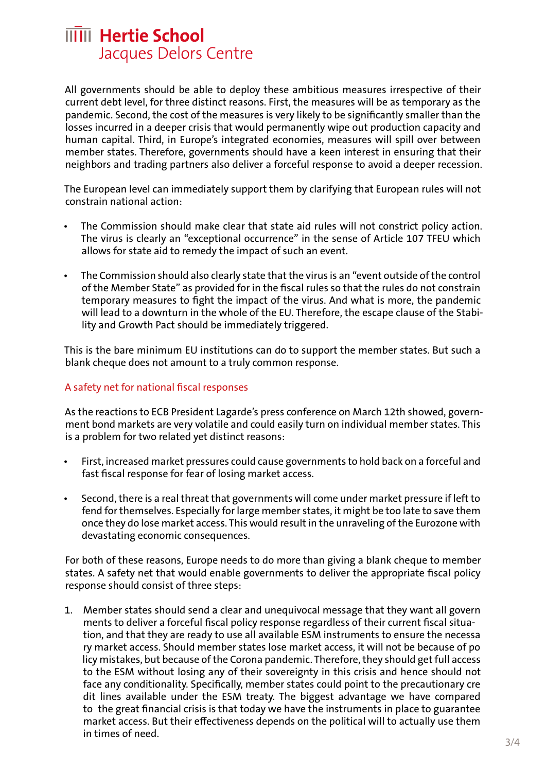### **IIIII** Hertie School Jacques Delors Centre

All governments should be able to deploy these ambitious measures irrespective of their current debt level, for three distinct reasons. First, the measures will be as temporary as the pandemic. Second, the cost of the measures is very likely to be significantly smaller than the losses incurred in a deeper crisis that would permanently wipe out production capacity and human capital. Third, in Europe's integrated economies, measures will spill over between member states. Therefore, governments should have a keen interest in ensuring that their neighbors and trading partners also deliver a forceful response to avoid a deeper recession.

The European level can immediately support them by clarifying that European rules will not constrain national action:

- The Commission should make clear that state aid rules will not constrict policy action. The virus is clearly an "exceptional occurrence" in the sense of Article 107 TFEU which allows for state aid to remedy the impact of such an event.
- The Commission should also clearly state that the virus is an "event outside of the control of the Member State" as provided for in the fiscal rules so that the rules do not constrain temporary measures to fight the impact of the virus. And what is more, the pandemic will lead to a downturn in the whole of the EU. Therefore, the escape clause of the Stability and Growth Pact should be immediately triggered.

This is the bare minimum EU institutions can do to support the member states. But such a blank cheque does not amount to a truly common response.

#### A safety net for national fiscal responses

As the reactions to ECB President Lagarde's press conference on March 12th showed, government bond markets are very volatile and could easily turn on individual member states. This is a problem for two related yet distinct reasons:

- First, increased market pressures could cause governments to hold back on a forceful and fast fiscal response for fear of losing market access.
- Second, there is a real threat that governments will come under market pressure if left to fend for themselves. Especially for large member states, it might be too late to save them once they do lose market access. This would result in the unraveling of the Eurozone with devastating economic consequences.

For both of these reasons, Europe needs to do more than giving a blank cheque to member states. A safety net that would enable governments to deliver the appropriate fiscal policy response should consist of three steps:

1. Member states should send a clear and unequivocal message that they want all govern ments to deliver a forceful fiscal policy response regardless of their current fiscal situation, and that they are ready to use all available ESM instruments to ensure the necessa ry market access. Should member states lose market access, it will not be because of po licy mistakes, but because of the Corona pandemic. Therefore, they should get full access to the ESM without losing any of their sovereignty in this crisis and hence should not face any conditionality. Specifically, member states could point to the precautionary cre dit lines available under the ESM treaty. The biggest advantage we have compared to the great financial crisis is that today we have the instruments in place to guarantee market access. But their effectiveness depends on the political will to actually use them in times of need.